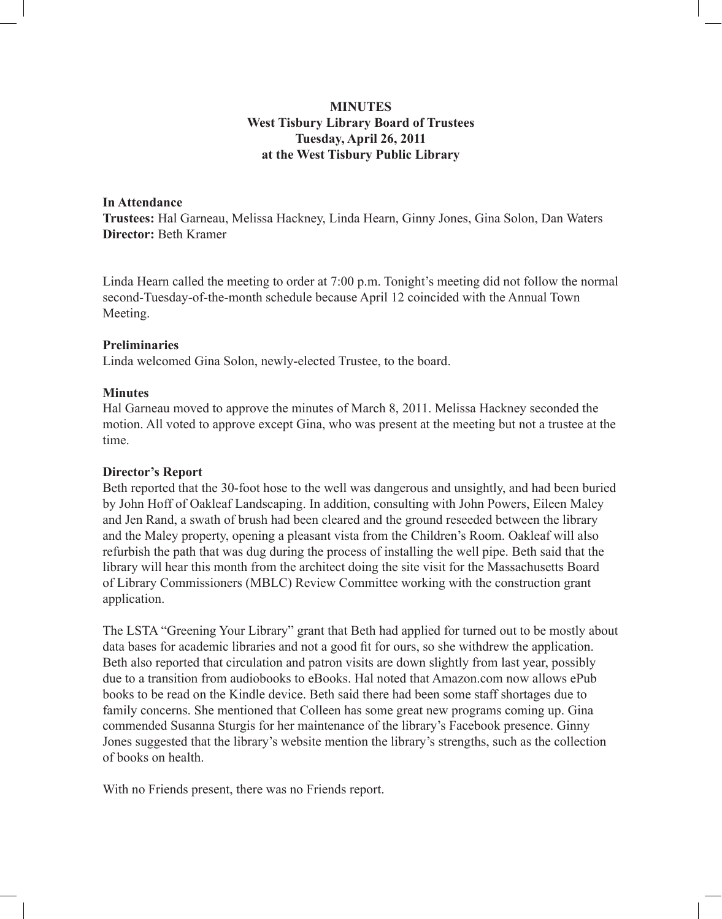# **MINUTES West Tisbury Library Board of Trustees Tuesday, April 26, 2011 at the West Tisbury Public Library**

## **In Attendance**

**Trustees:** Hal Garneau, Melissa Hackney, Linda Hearn, Ginny Jones, Gina Solon, Dan Waters **Director:** Beth Kramer

Linda Hearn called the meeting to order at 7:00 p.m. Tonight's meeting did not follow the normal second-Tuesday-of-the-month schedule because April 12 coincided with the Annual Town Meeting.

## **Preliminaries**

Linda welcomed Gina Solon, newly-elected Trustee, to the board.

# **Minutes**

Hal Garneau moved to approve the minutes of March 8, 2011. Melissa Hackney seconded the motion. All voted to approve except Gina, who was present at the meeting but not a trustee at the time.

# **Director's Report**

Beth reported that the 30-foot hose to the well was dangerous and unsightly, and had been buried by John Hoff of Oakleaf Landscaping. In addition, consulting with John Powers, Eileen Maley and Jen Rand, a swath of brush had been cleared and the ground reseeded between the library and the Maley property, opening a pleasant vista from the Children's Room. Oakleaf will also refurbish the path that was dug during the process of installing the well pipe. Beth said that the library will hear this month from the architect doing the site visit for the Massachusetts Board of Library Commissioners (MBLC) Review Committee working with the construction grant application.

The LSTA "Greening Your Library" grant that Beth had applied for turned out to be mostly about data bases for academic libraries and not a good fit for ours, so she withdrew the application. Beth also reported that circulation and patron visits are down slightly from last year, possibly due to a transition from audiobooks to eBooks. Hal noted that Amazon.com now allows ePub books to be read on the Kindle device. Beth said there had been some staff shortages due to family concerns. She mentioned that Colleen has some great new programs coming up. Gina commended Susanna Sturgis for her maintenance of the library's Facebook presence. Ginny Jones suggested that the library's website mention the library's strengths, such as the collection of books on health.

With no Friends present, there was no Friends report.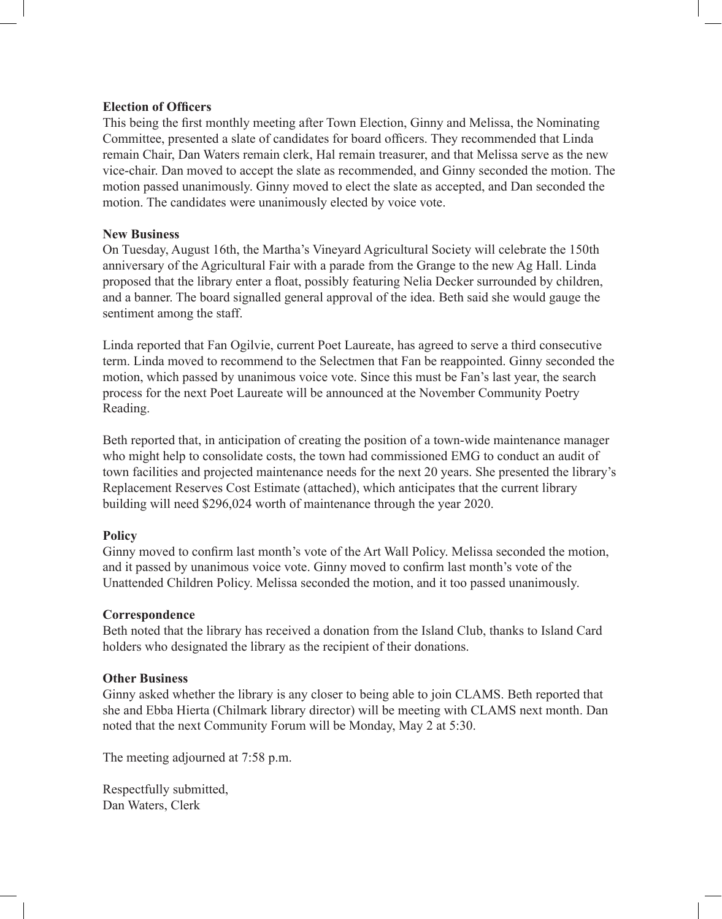#### **Election of Officers**

This being the first monthly meeting after Town Election, Ginny and Melissa, the Nominating Committee, presented a slate of candidates for board officers. They recommended that Linda remain Chair, Dan Waters remain clerk, Hal remain treasurer, and that Melissa serve as the new vice-chair. Dan moved to accept the slate as recommended, and Ginny seconded the motion. The motion passed unanimously. Ginny moved to elect the slate as accepted, and Dan seconded the motion. The candidates were unanimously elected by voice vote.

#### **New Business**

On Tuesday, August 16th, the Martha's Vineyard Agricultural Society will celebrate the 150th anniversary of the Agricultural Fair with a parade from the Grange to the new Ag Hall. Linda proposed that the library enter a float, possibly featuring Nelia Decker surrounded by children, and a banner. The board signalled general approval of the idea. Beth said she would gauge the sentiment among the staff.

Linda reported that Fan Ogilvie, current Poet Laureate, has agreed to serve a third consecutive term. Linda moved to recommend to the Selectmen that Fan be reappointed. Ginny seconded the motion, which passed by unanimous voice vote. Since this must be Fan's last year, the search process for the next Poet Laureate will be announced at the November Community Poetry Reading.

Beth reported that, in anticipation of creating the position of a town-wide maintenance manager who might help to consolidate costs, the town had commissioned EMG to conduct an audit of town facilities and projected maintenance needs for the next 20 years. She presented the library's Replacement Reserves Cost Estimate (attached), which anticipates that the current library building will need \$296,024 worth of maintenance through the year 2020.

## **Policy**

Ginny moved to confirm last month's vote of the Art Wall Policy. Melissa seconded the motion, and it passed by unanimous voice vote. Ginny moved to confirm last month's vote of the Unattended Children Policy. Melissa seconded the motion, and it too passed unanimously.

## **Correspondence**

Beth noted that the library has received a donation from the Island Club, thanks to Island Card holders who designated the library as the recipient of their donations.

#### **Other Business**

Ginny asked whether the library is any closer to being able to join CLAMS. Beth reported that she and Ebba Hierta (Chilmark library director) will be meeting with CLAMS next month. Dan noted that the next Community Forum will be Monday, May 2 at 5:30.

The meeting adjourned at 7:58 p.m.

Respectfully submitted, Dan Waters, Clerk